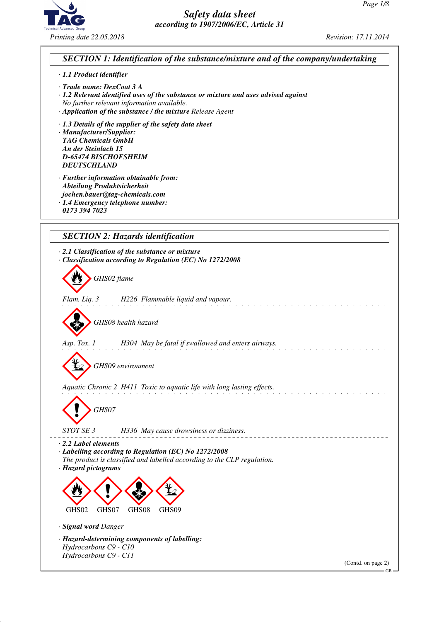



- *· Trade name: DexCoat 3 A*
- *· 1.2 Relevant identified uses of the substance or mixture and uses advised against No further relevant information available.*
- *· Application of the substance / the mixture Release Agent*
- *· 1.3 Details of the supplier of the safety data sheet*

*· Manufacturer/Supplier: TAG Chemicals GmbH An der Steinlach 15 D-65474 BISCHOFSHEIM DEUTSCHLAND*

- *· Further information obtainable from: Abteilung Produktsicherheit jochen.bauer@tag-chemicals.com*
- *· 1.4 Emergency telephone number:*
- *0173 394 7023*

# *SECTION 2: Hazards identification*

*· 2.1 Classification of the substance or mixture · Classification according to Regulation (EC) No 1272/2008* d~*GHS02 flame Flam. Liq. 3 H226 Flammable liquid and vapour.* d~*GHS08 health hazard Asp. Tox. 1 H304 May be fatal if swallowed and enters airways.* d~*GHS09 environment Aquatic Chronic 2 H411 Toxic to aquatic life with long lasting effects.* d~*GHS07 STOT SE 3 H336 May cause drowsiness or dizziness. · 2.2 Label elements · Labelling according to Regulation (EC) No 1272/2008 The product is classified and labelled according to the CLP regulation. · Hazard pictograms* <  $\langle \cdot \rangle$  $\Leftrightarrow$ **designations** GHS02 GHS07 GHS08 GHS09 *· Signal word Danger · Hazard-determining components of labelling: Hydrocarbons C9 - C10 Hydrocarbons C9 - C11* (Contd. on page 2)

GB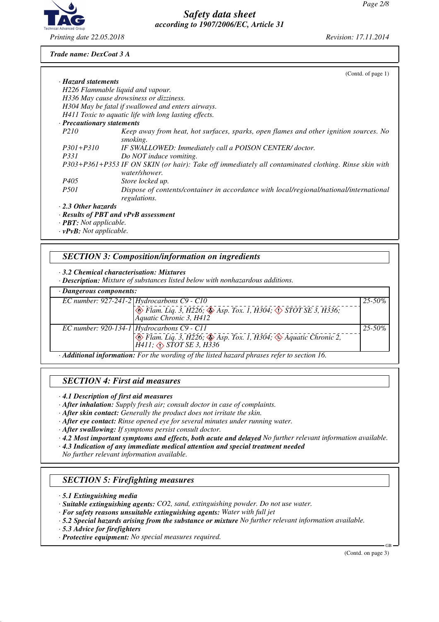

*Trade name: DexCoat 3 A*

|                                      | (Cond. of page 1)                                                                                                     |
|--------------------------------------|-----------------------------------------------------------------------------------------------------------------------|
| · Hazard statements                  |                                                                                                                       |
|                                      | H226 Flammable liquid and vapour.                                                                                     |
|                                      | H336 May cause drowsiness or dizziness.                                                                               |
|                                      | H304 May be fatal if swallowed and enters airways.                                                                    |
|                                      | H411 Toxic to aquatic life with long lasting effects.                                                                 |
| · Precautionary statements           |                                                                                                                       |
| <i>P210</i>                          | Keep away from heat, hot surfaces, sparks, open flames and other ignition sources. No<br>smoking.                     |
| $P301 + P310$                        | IF SWALLOWED: Immediately call a POISON CENTER/doctor.                                                                |
| <i>P331</i>                          | Do NOT induce vomiting.                                                                                               |
|                                      | P303+P361+P353 IF ON SKIN (or hair): Take off immediately all contaminated clothing. Rinse skin with<br>water/shower. |
| P405                                 | Store locked up.                                                                                                      |
| <i>P501</i>                          | Dispose of contents/container in accordance with local/regional/national/international<br>regulations.                |
| $\cdot$ 2.3 Other hazards            |                                                                                                                       |
|                                      | · Results of PBT and vPvB assessment                                                                                  |
| $\cdot$ <b>PBT</b> : Not applicable. |                                                                                                                       |
| $\cdot$ vPvB: Not applicable.        |                                                                                                                       |

## *SECTION 3: Composition/information on ingredients*

#### *· 3.2 Chemical characterisation: Mixtures*

*· Description: Mixture of substances listed below with nonhazardous additions.*

| · Dangerous components: |                                                                                                                                       |             |  |  |  |
|-------------------------|---------------------------------------------------------------------------------------------------------------------------------------|-------------|--|--|--|
|                         | EC number: $927-241-2$ Hydrocarbons C9 - C10                                                                                          | $25 - 50\%$ |  |  |  |
|                         | Flam. Liq. 3, H226; $\circledast$ Asp. Tox. 1, H304; $\circledast$ STOT SE 3, H336;<br>Aquatic Chronic 3, H412                        |             |  |  |  |
|                         | EC number: 920-134-1   Hydrocarbons $C9$ - $C11$                                                                                      | $25 - 50\%$ |  |  |  |
|                         | $\otimes$ Flam. Liq. 3, H226; $\otimes$ Asp. Tox. 1, H304; $\otimes$ Aquatic Chronic 2,<br>$\hat{H}$ 411; $\triangle$ STOT SE 3, H336 |             |  |  |  |
|                         | Additional information: For the wording of the listed hazard phrases refer to section 16                                              |             |  |  |  |

*· Additional information: For the wording of the listed hazard phrases refer to section 16.*

### *SECTION 4: First aid measures*

*· 4.1 Description of first aid measures*

*· After inhalation: Supply fresh air; consult doctor in case of complaints.*

*· After skin contact: Generally the product does not irritate the skin.*

- *· After eye contact: Rinse opened eye for several minutes under running water.*
- *· After swallowing: If symptoms persist consult doctor.*
- *· 4.2 Most important symptoms and effects, both acute and delayed No further relevant information available.*
- *· 4.3 Indication of any immediate medical attention and special treatment needed*

*No further relevant information available.*

### *SECTION 5: Firefighting measures*

- *· 5.1 Extinguishing media*
- *· Suitable extinguishing agents: CO2, sand, extinguishing powder. Do not use water.*
- *· For safety reasons unsuitable extinguishing agents: Water with full jet*
- *· 5.2 Special hazards arising from the substance or mixture No further relevant information available.*
- *· 5.3 Advice for firefighters*
- *· Protective equipment: No special measures required.*

(Contd. on page 3)

GB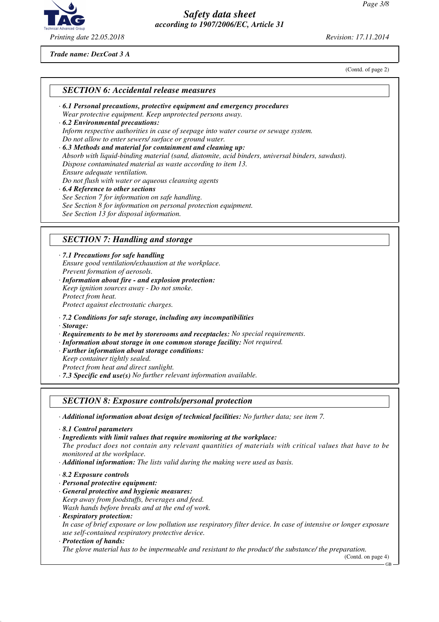

*Trade name: DexCoat 3 A*

(Contd. of page 2)

*· 6.1 Personal precautions, protective equipment and emergency procedures Wear protective equipment. Keep unprotected persons away. · 6.2 Environmental precautions:*

*Inform respective authorities in case of seepage into water course or sewage system. Do not allow to enter sewers/ surface or ground water.*

- *· 6.3 Methods and material for containment and cleaning up: Absorb with liquid-binding material (sand, diatomite, acid binders, universal binders, sawdust). Dispose contaminated material as waste according to item 13. Ensure adequate ventilation. Do not flush with water or aqueous cleansing agents · 6.4 Reference to other sections See Section 7 for information on safe handling.*
- *See Section 8 for information on personal protection equipment.*

*See Section 13 for disposal information.*

## *SECTION 7: Handling and storage*

*· 7.1 Precautions for safe handling Ensure good ventilation/exhaustion at the workplace. Prevent formation of aerosols.*

- *· Information about fire and explosion protection: Keep ignition sources away - Do not smoke. Protect from heat. Protect against electrostatic charges.*
- *· 7.2 Conditions for safe storage, including any incompatibilities*
- *· Storage:*
- *· Requirements to be met by storerooms and receptacles: No special requirements.*
- *· Information about storage in one common storage facility: Not required.*
- *· Further information about storage conditions:*
- *Keep container tightly sealed.*
- *Protect from heat and direct sunlight.*
- *· 7.3 Specific end use(s) No further relevant information available.*

### *SECTION 8: Exposure controls/personal protection*

*· Additional information about design of technical facilities: No further data; see item 7.*

*· 8.1 Control parameters*

*· Ingredients with limit values that require monitoring at the workplace:*

*The product does not contain any relevant quantities of materials with critical values that have to be monitored at the workplace.*

- *· Additional information: The lists valid during the making were used as basis.*
- *· 8.2 Exposure controls*
- *· Personal protective equipment:*
- *· General protective and hygienic measures: Keep away from foodstuffs, beverages and feed. Wash hands before breaks and at the end of work.*
- *· Respiratory protection:*

*In case of brief exposure or low pollution use respiratory filter device. In case of intensive or longer exposure use self-contained respiratory protective device.*

#### *· Protection of hands:*

*The glove material has to be impermeable and resistant to the product/ the substance/ the preparation.*

(Contd. on page 4)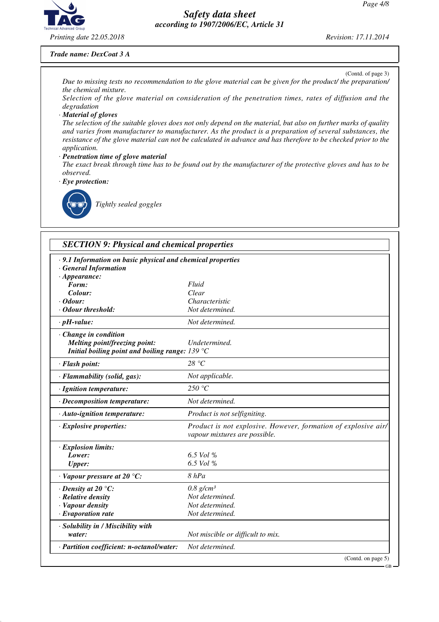GB



## *Safety data sheet according to 1907/2006/EC, Article 31*

#### *Trade name: DexCoat 3 A*

(Contd. of page 3) *Due to missing tests no recommendation to the glove material can be given for the product/ the preparation/ the chemical mixture.*

*Selection of the glove material on consideration of the penetration times, rates of diffusion and the degradation*

#### *· Material of gloves*

*The selection of the suitable gloves does not only depend on the material, but also on further marks of quality and varies from manufacturer to manufacturer. As the product is a preparation of several substances, the resistance of the glove material can not be calculated in advance and has therefore to be checked prior to the application.*

#### *· Penetration time of glove material*

*The exact break through time has to be found out by the manufacturer of the protective gloves and has to be observed.*

*· Eye protection:*



\_R*Tightly sealed goggles*

| .9.1 Information on basic physical and chemical properties<br>· General Information |                                                                                                 |
|-------------------------------------------------------------------------------------|-------------------------------------------------------------------------------------------------|
| $\cdot$ Appearance:                                                                 |                                                                                                 |
| Form:                                                                               | Fluid                                                                                           |
| Colour:                                                                             | Clear                                                                                           |
| Odour:                                                                              | Characteristic                                                                                  |
| <b>Odour threshold:</b>                                                             | Not determined.                                                                                 |
| $\cdot$ pH-value:                                                                   | Not determined.                                                                                 |
| · Change in condition                                                               |                                                                                                 |
| Melting point/freezing point:                                                       | Undetermined.                                                                                   |
| Initial boiling point and boiling range: $139 °C$                                   |                                                                                                 |
| · Flash point:                                                                      | 28 °C                                                                                           |
| · Flammability (solid, gas):                                                        | Not applicable.                                                                                 |
| · Ignition temperature:                                                             | 250 $\degree$ C                                                                                 |
| · Decomposition temperature:                                                        | Not determined.                                                                                 |
| · Auto-ignition temperature:                                                        | Product is not selfigniting.                                                                    |
| $\cdot$ Explosive properties:                                                       | Product is not explosive. However, formation of explosive air/<br>vapour mixtures are possible. |
| · Explosion limits:                                                                 |                                                                                                 |
| Lower:                                                                              | $6.5$ Vol %                                                                                     |
| <b>Upper:</b>                                                                       | 6.5 Vol %                                                                                       |
| $\cdot$ Vapour pressure at 20 °C:                                                   | 8 hPa                                                                                           |
| $\cdot$ Density at 20 $\degree$ C:                                                  | $0.8$ g/cm <sup>3</sup>                                                                         |
| · Relative density                                                                  | Not determined.                                                                                 |
| · Vapour density                                                                    | Not determined.                                                                                 |
| · Evaporation rate                                                                  | Not determined.                                                                                 |
| · Solubility in / Miscibility with                                                  |                                                                                                 |
| water:                                                                              | Not miscible or difficult to mix.                                                               |
| · Partition coefficient: n-octanol/water:                                           | Not determined.                                                                                 |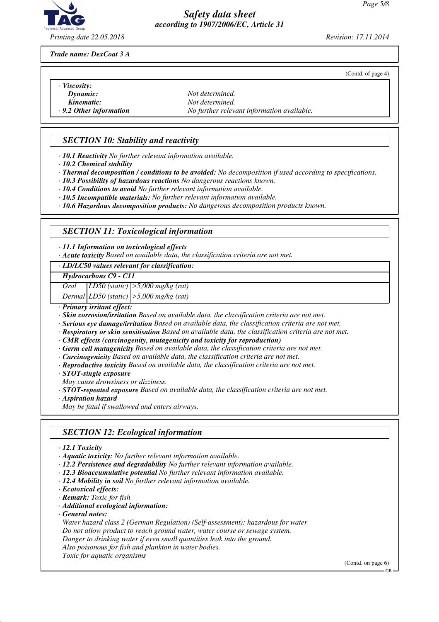

*Printing date 22.05.2018 Revision: 17.11.2014*

(Contd. of page 4)

*Trade name: DexCoat 3 A*

- *· Viscosity:*
- 
- 
- 

*Dynamic: Not determined.*<br>*Not determined. Not determined.* **Kinematic:** *Not determined.*<br>*Ray**No further relev**No further relev**No further relev · 9.2 Other information No further relevant information available.*

## *SECTION 10: Stability and reactivity*

*· 10.1 Reactivity No further relevant information available.*

- *· 10.2 Chemical stability*
- *· Thermal decomposition / conditions to be avoided: No decomposition if used according to specifications.*
- *· 10.3 Possibility of hazardous reactions No dangerous reactions known.*
- *· 10.4 Conditions to avoid No further relevant information available.*
- *· 10.5 Incompatible materials: No further relevant information available.*
- *· 10.6 Hazardous decomposition products: No dangerous decomposition products known.*

## *SECTION 11: Toxicological information*

*· 11.1 Information on toxicological effects*

*· Acute toxicity Based on available data, the classification criteria are not met.*

#### *· LD/LC50 values relevant for classification:*

*Hydrocarbons C9 - C11*

*Oral LD50 (static) >5,000 mg/kg (rat)*

*Dermal LD50 (static) >5,000 mg/kg (rat)*

*· Primary irritant effect:*

*· Skin corrosion/irritation Based on available data, the classification criteria are not met.*

- *· Serious eye damage/irritation Based on available data, the classification criteria are not met.*
- *· Respiratory or skin sensitisation Based on available data, the classification criteria are not met.*

*· CMR effects (carcinogenity, mutagenicity and toxicity for reproduction)*

- *· Germ cell mutagenicity Based on available data, the classification criteria are not met.*
- *· Carcinogenicity Based on available data, the classification criteria are not met.*
- *· Reproductive toxicity Based on available data, the classification criteria are not met.*
- *· STOT-single exposure*

*May cause drowsiness or dizziness.*

*· STOT-repeated exposure Based on available data, the classification criteria are not met.*

*· Aspiration hazard*

*May be fatal if swallowed and enters airways.*

## *SECTION 12: Ecological information*

*· 12.1 Toxicity*

- *· Aquatic toxicity: No further relevant information available.*
- *· 12.2 Persistence and degradability No further relevant information available.*
- *· 12.3 Bioaccumulative potential No further relevant information available.*
- *· 12.4 Mobility in soil No further relevant information available.*
- *· Ecotoxical effects:*
- *· Remark: Toxic for fish*
- *· Additional ecological information:*
- *· General notes:*

*Water hazard class 2 (German Regulation) (Self-assessment): hazardous for water*

*Do not allow product to reach ground water, water course or sewage system.*

*Danger to drinking water if even small quantities leak into the ground.*

*Also poisonous for fish and plankton in water bodies.*

*Toxic for aquatic organisms*

(Contd. on page 6)

GB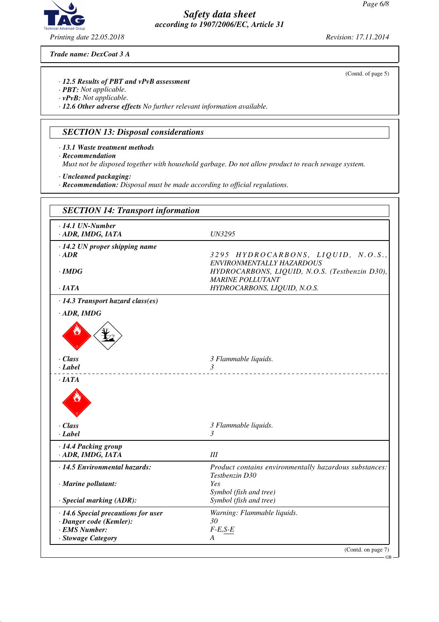

*Trade name: DexCoat 3 A*

#### *· 12.5 Results of PBT and vPvB assessment*

- *· PBT: Not applicable.*
- *· vPvB: Not applicable.*

*· 12.6 Other adverse effects No further relevant information available.*

#### *SECTION 13: Disposal considerations*

- *· 13.1 Waste treatment methods*
- *· Recommendation*

*Must not be disposed together with household garbage. Do not allow product to reach sewage system.*

- *· Uncleaned packaging:*
- *· Recommendation: Disposal must be made according to official regulations.*

| $\cdot$ 14.1 UN-Number                  |                                                                          |
|-----------------------------------------|--------------------------------------------------------------------------|
| · ADR, IMDG, IATA                       | <b>UN3295</b>                                                            |
| $\cdot$ 14.2 UN proper shipping name    |                                                                          |
| $\cdot$ ADR                             | 3295 HYDROCARBONS, LIQUID, N.O.S.,                                       |
|                                         | ENVIRONMENTALLY HAZARDOUS                                                |
| $\cdot$ IMDG                            | HYDROCARBONS, LIQUID, N.O.S. (Testbenzin D30),                           |
| $\cdot$ IATA                            | <b>MARINE POLLUTANT</b><br>HYDROCARBONS, LIQUID, N.O.S.                  |
|                                         |                                                                          |
| $\cdot$ 14.3 Transport hazard class(es) |                                                                          |
| $\cdot$ ADR, IMDG                       |                                                                          |
|                                         |                                                                          |
| $\cdot$ Class                           | 3 Flammable liquids.                                                     |
| · Label                                 | $\overline{\mathcal{E}}$                                                 |
| $\cdot$ IATA                            |                                                                          |
| $\cdot$ Class                           | 3 Flammable liquids.                                                     |
| · Label                                 | $\mathfrak{Z}$                                                           |
| · 14.4 Packing group                    |                                                                          |
| · ADR, IMDG, IATA                       | Ш                                                                        |
|                                         |                                                                          |
| · 14.5 Environmental hazards:           | Product contains environmentally hazardous substances:<br>Testbenzin D30 |
| · Marine pollutant:                     | Yes                                                                      |
|                                         | Symbol (fish and tree)                                                   |
| · Special marking (ADR):                | Symbol (fish and tree)                                                   |
| · 14.6 Special precautions for user     | Warning: Flammable liquids.                                              |
| · Danger code (Kemler):                 | 30                                                                       |
| · EMS Number:                           | $F-E, S-E$                                                               |
| · Stowage Category                      | A                                                                        |

(Contd. of page 5)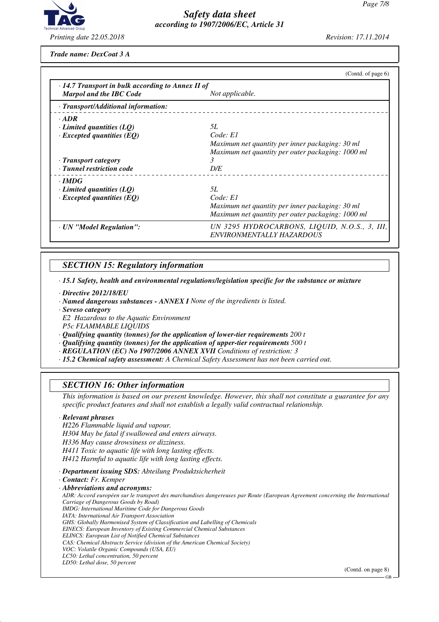

*Trade name: DexCoat 3 A*

|                                                         | (Contd. of page $6$ )                                                      |  |  |  |  |
|---------------------------------------------------------|----------------------------------------------------------------------------|--|--|--|--|
| $\cdot$ 14.7 Transport in bulk according to Annex II of |                                                                            |  |  |  |  |
| <b>Marpol and the IBC Code</b>                          | Not applicable.                                                            |  |  |  |  |
| · Transport/Additional information:                     |                                                                            |  |  |  |  |
| $\cdot$ ADR                                             |                                                                            |  |  |  |  |
| $\cdot$ Limited quantities (LQ)                         | 5L                                                                         |  |  |  |  |
| $\cdot$ Excepted quantities (EQ)                        | Code: E1                                                                   |  |  |  |  |
|                                                         | Maximum net quantity per inner packaging: 30 ml                            |  |  |  |  |
|                                                         | Maximum net quantity per outer packaging: 1000 ml                          |  |  |  |  |
| · Transport category                                    | 3                                                                          |  |  |  |  |
| · Tunnel restriction code                               | D/E                                                                        |  |  |  |  |
| $\cdot$ IMDG                                            |                                                                            |  |  |  |  |
| $\cdot$ Limited quantities (LQ)                         | 5L                                                                         |  |  |  |  |
| $\cdot$ Excepted quantities (EQ)                        | Code: E1                                                                   |  |  |  |  |
|                                                         | Maximum net quantity per inner packaging: 30 ml                            |  |  |  |  |
|                                                         | Maximum net quantity per outer packaging: 1000 ml                          |  |  |  |  |
| · UN "Model Regulation":                                | UN 3295 HYDROCARBONS, LIQUID, N.O.S., 3, III,<br>ENVIRONMENTALLY HAZARDOUS |  |  |  |  |

## *SECTION 15: Regulatory information*

*· 15.1 Safety, health and environmental regulations/legislation specific for the substance or mixture*

- *· Directive 2012/18/EU*
- *· Named dangerous substances ANNEX I None of the ingredients is listed.*
- *· Seveso category*
- *E2 Hazardous to the Aquatic Environment*
- *P5c FLAMMABLE LIQUIDS*
- *· Qualifying quantity (tonnes) for the application of lower-tier requirements 200 t*
- *· Qualifying quantity (tonnes) for the application of upper-tier requirements 500 t*
- *· REGULATION (EC) No 1907/2006 ANNEX XVII Conditions of restriction: 3*
- *· 15.2 Chemical safety assessment: A Chemical Safety Assessment has not been carried out.*

### *SECTION 16: Other information*

*This information is based on our present knowledge. However, this shall not constitute a guarantee for any specific product features and shall not establish a legally valid contractual relationship.*

#### *· Relevant phrases*

*H226 Flammable liquid and vapour. H304 May be fatal if swallowed and enters airways. H336 May cause drowsiness or dizziness. H411 Toxic to aquatic life with long lasting effects. H412 Harmful to aquatic life with long lasting effects.*

*· Department issuing SDS: Abteilung Produktsicherheit*

*· Contact: Fr. Kemper*

*· Abbreviations and acronyms:*

*ADR: Accord européen sur le transport des marchandises dangereuses par Route (European Agreement concerning the International Carriage of Dangerous Goods by Road) IMDG: International Maritime Code for Dangerous Goods IATA: International Air Transport Association GHS: Globally Harmonised System of Classification and Labelling of Chemicals EINECS: European Inventory of Existing Commercial Chemical Substances ELINCS: European List of Notified Chemical Substances*

- *CAS: Chemical Abstracts Service (division of the American Chemical Society)*
- *VOC: Volatile Organic Compounds (USA, EU)*
- *LC50: Lethal concentration, 50 percent*
- *LD50: Lethal dose, 50 percent*

(Contd. on page 8)

GB